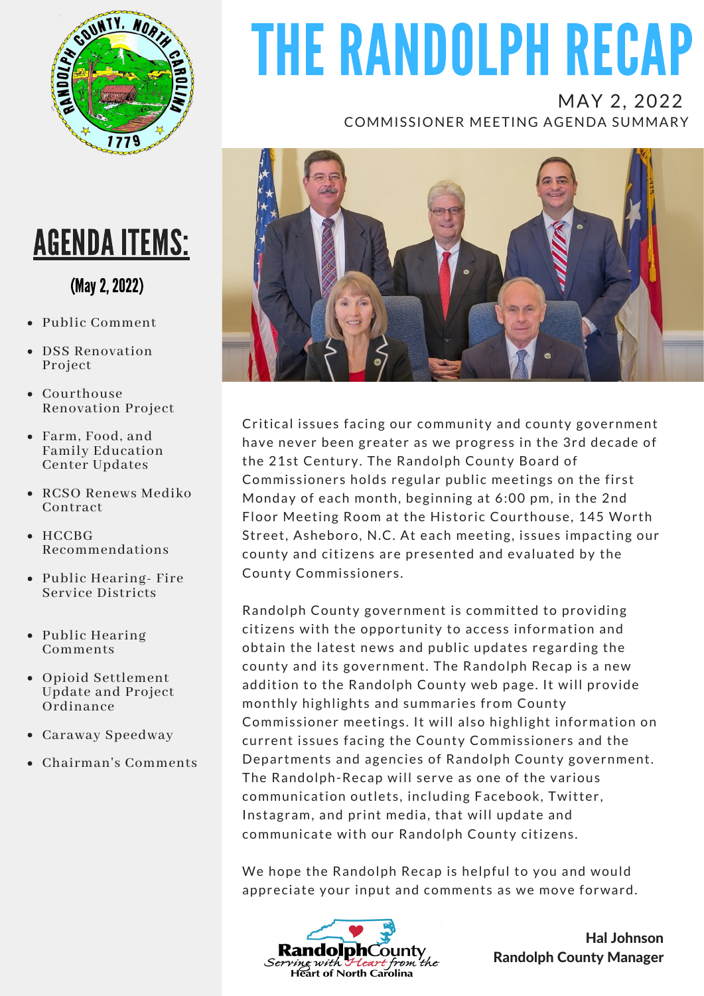

### AGENDA ITEMS:

### (May2,2022)

- Public Comment
- DSS Renovation Project
- Courthouse Renovation Project
- Farm, Food, and Family Education Center Updates
- RCSO Renews Mediko Contract
- HCCBG Recommendations
- Public Hearing- Fire Service Districts
- Public Hearing Comments
- Opioid Settlement Update and Project Ordinance
- Caraway Speedway
- Chairman's Comments

# THE RANDOLPH RECAP

MAY 2, 2022 COMMISSIONER MEETING AGENDA SUMMARY



Critical issues facing our community and county government have never been greater as we progress in the 3rd decade of the 21st Century. The Randolph County Board of Commissioners holds regular public meetings on the first Monday of each month, beginning at 6:00 pm, in the 2nd Floor Meeting Room at the Historic Courthouse, 145 Worth Street, Asheboro, N.C. At each meeting, issues impacting our county and citizens are presented and evaluated by the County Commissioners.

Randolph County government is committed to providing citizens with the opportunity to access information and obtain the latest news and public updates regarding the county and its government. The Randolph Recap is a new addition to the Randolph County web page. It will provide monthly highlights and summaries from County Commissioner meetings. It will also highlight information on current issues facing the County Commissioners and the Departments and agencies of Randolph County government. The Randolph-Recap will serve as one of the various communication outlets, including Facebook, Twitter, Instagram, and print media, that will update and communicate with our Randolph County citizens.

We hope the Randolph Recap is helpful to you and would appreciate your input and comments as we move forward.



Hal Johnson Randolph County Manager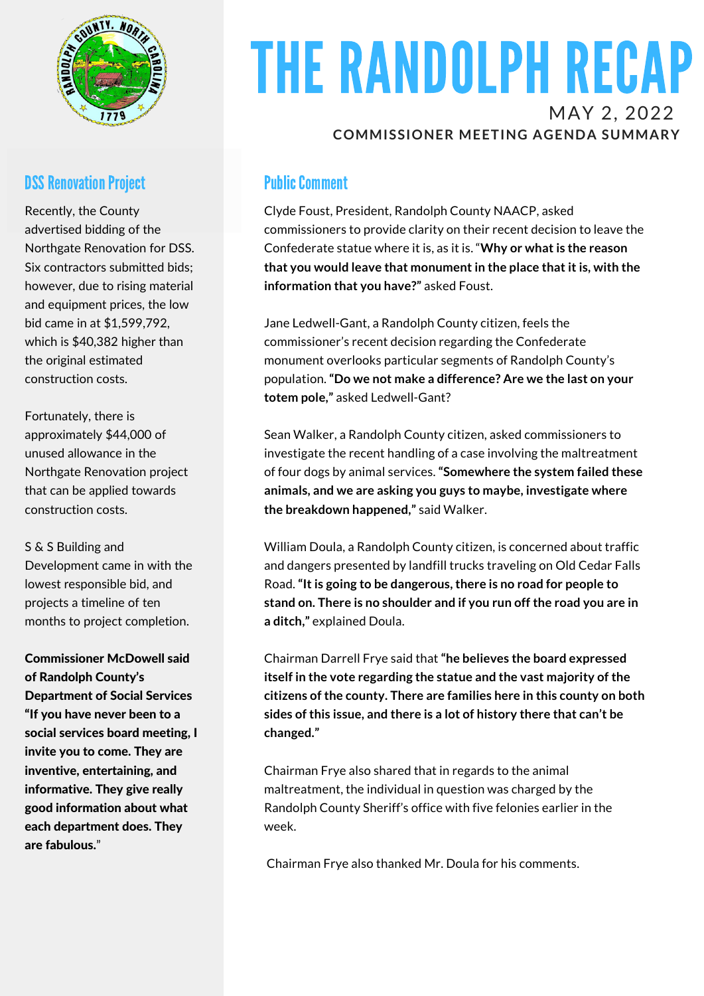

#### **DSS Renovation Project**

Recently, the County advertised bidding of the Northgate Renovation for DSS. Six contractors submitted bids; however, due to rising material and equipment prices, the low bid came in at \$1,599,792, which is \$40,382 higher than the original estimated construction costs.

Fortunately, there is approximately \$44,000 of unused allowance in the Northgate Renovation project that can be applied towards construction costs.

#### S & S Building and

Development came in with the lowest responsible bid, and projects a timeline of ten months to project completion.

Commissioner McDowell said of Randolph County's Department of Social Services "If you have never been to a social services board meeting, I invite you to come. They are inventive, entertaining, and informative. They give really good information about what each department does. They are fabulous."

## THE RANDOLPH RECAP MAY 2, 2022

#### **COMMISSIONER MEETING AGENDA SUMMARY**

#### **Public Comment**

Clyde Foust, President, Randolph County NAACP, asked commissioners to provide clarity on their recent decision to leave the Confederate statue where it is, as it is. "**Why or what is the reason that you would leave that monument in the place that it is, with the information that you have?"** asked Foust.

Jane Ledwell-Gant, a Randolph County citizen, feels the commissioner's recent decision regarding the Confederate monument overlooks particular segments of Randolph County's population. **"Do we not make a difference? Are we the last on your totem pole,"** asked Ledwell-Gant?

Sean Walker, a Randolph County citizen, asked commissioners to investigate the recent handling of a case involving the maltreatment of four dogs by animal services. **"Somewhere the system failed these animals, and we are asking you guys to maybe, investigate where the breakdown happened,"** said Walker.

William Doula, a Randolph County citizen, is concerned about traffic and dangers presented by landfill trucks traveling on Old Cedar Falls Road. **"It is going to be dangerous, there is no road for people to stand on. There is no shoulder and if you run off the road you are in a ditch,"** explained Doula.

Chairman Darrell Frye said that **"he believes the board expressed itself in the vote regarding the statue and the vast majority of the citizens of the county. There are families here in this county on both sides of this issue, and there is a lot of history there that can't be changed."**

Chairman Frye also shared that in regards to the animal maltreatment, the individual in question was charged by the Randolph County Sheriff's office with five felonies earlier in the week.

Chairman Frye also thanked Mr. Doula for his comments.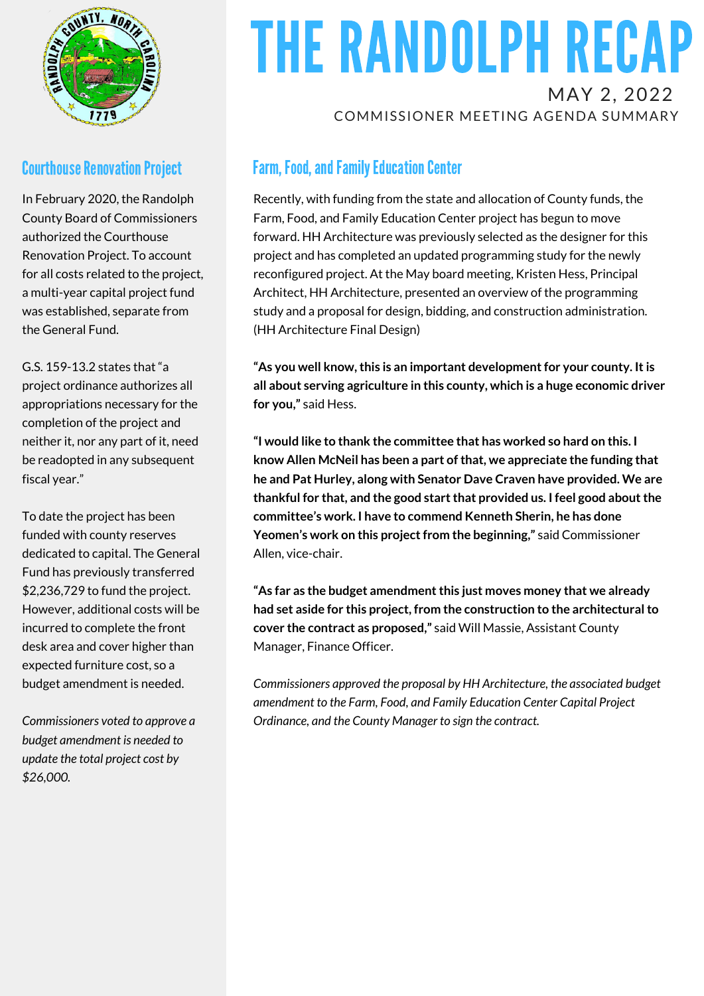

### **Courthouse Renovation Project**

In February 2020, the Randolph County Board of Commissioners authorized the Courthouse Renovation Project. To account for all costs related to the project, a multi-year capital project fund was established, separate from the General Fund.

G.S. 159-13.2 states that "a project ordinance authorizes all appropriations necessary for the completion of the project and neither it, nor any part of it, need be readopted in any subsequent fiscal year."

To date the project has been funded with county reserves dedicated to capital. The General Fund has previously transferred \$2,236,729 to fund the project. However, additional costs will be incurred to complete the front desk area and cover higher than expected furniture cost, so a budget amendment is needed.

*Commissioners voted to approve a budget amendment is needed to update the total project cost by \$26,000.*

## THE RANDOLPH RECAP MAY 2, 2022

COMMISSIONER MEETING AGENDA SUMMARY

### Farm, Food, and Family Education Center

Recently, with funding from the state and allocation of County funds, the Farm, Food, and Family Education Center project has begun to move forward. HH Architecture was previously selected as the designer for this project and has completed an updated programming study for the newly reconfigured project. At the May board meeting, Kristen Hess, Principal Architect, HH Architecture, presented an overview of the programming study and a proposal for design, bidding, and construction administration. (HH Architecture Final Design)

**"As you well know,this is an important developmentfor your county. Itis all about serving agriculture in this county, which is a huge economic driver for you,"** said Hess.

**"I would like to thank the committee that has worked so hard on this. I know Allen McNeil has been a part ofthat, we appreciate the funding that he and Pat Hurley, along with Senator Dave Craven have provided. We are thankful for that, and the good startthat provided us. I feel good aboutthe committee's work. I have to commend Kenneth Sherin, he has done Yeomen's work on this projectfrom the beginning,"** said Commissioner Allen, vice-chair.

**"As far as the budget amendmentthis just moves money that we already had set aside for this project, from the construction to the architecturalto cover the contract as proposed,"** said Will Massie, Assistant County Manager, Finance Officer.

*Commissioners approved the proposal by HH Architecture, the associated budget amendment to the Farm, Food, and Family Education Center Capital Project Ordinance, and the County Manager to sign the contract.*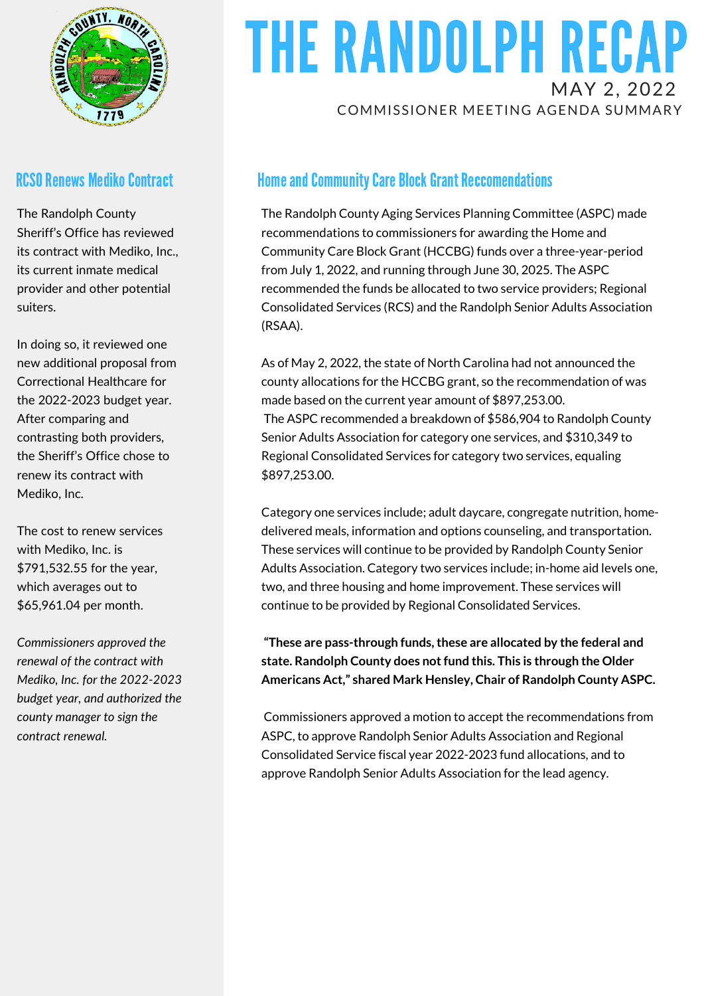

#### **RCSO Renews Mediko Contract**

The Randolph County Sheriff's Office has reviewed its contract with Mediko, Inc., its current inmate medical provider and other potential suiters.

In doing so, it reviewed one new additional proposal from Correctional Healthcare for the 2022-2023 budget year. After comparing and contrasting both providers, the Sheriff's Office chose to renew its contract with Mediko, Inc.

The cost to renew services with Mediko, Inc. is \$791,532.55 for the year, which averages out to \$65,961.04 per month.

*Commissioners approved the renewal of the contract with Mediko, Inc. for the 2022-2023 budget year, and authorized the county manager to sign the contract renewal.*

### THE RANDOLPH RECAP MAY 2, 2022 COMMISSIONER MEETING AGENDA SUMMARY

### **Home and Community Care Block Grant Reccomendations**

The Randolph County Aging Services Planning Committee (ASPC) made recommendations to commissioners for awarding the Home and Community Care Block Grant (HCCBG) funds over a three-year-period from July 1, 2022, and running through June 30, 2025. The ASPC recommended the funds be allocated to two service providers; Regional Consolidated Services (RCS) and the Randolph Senior Adults Association (RSAA).

As of May 2, 2022, the state of North Carolina had not announced the county allocations for the HCCBG grant, so the recommendation of was made based on the current year amount of \$897,253.00. The ASPC recommended a breakdown of \$586,904 to Randolph County Senior Adults Association for category one services, and \$310,349 to Regional Consolidated Services for category two services, equaling \$897,253.00.

Category one services include; adult daycare, congregate nutrition, homedelivered meals, information and options counseling, and transportation. These services will continue to be provided by Randolph County Senior Adults Association. Category two services include; in-home aid levels one, two, and three housing and home improvement. These services will continue to be provided by Regional Consolidated Services.

**"These are pass-through funds,these are allocated by the federal and state. Randolph County does notfund this. This is through the Older Americans Act," shared Mark Hensley, Chair of Randolph County ASPC.**

Commissioners approved a motion to accept the recommendations from ASPC, to approve Randolph Senior Adults Association and Regional Consolidated Service fiscal year 2022-2023 fund allocations, and to approve Randolph Senior Adults Association for the lead agency.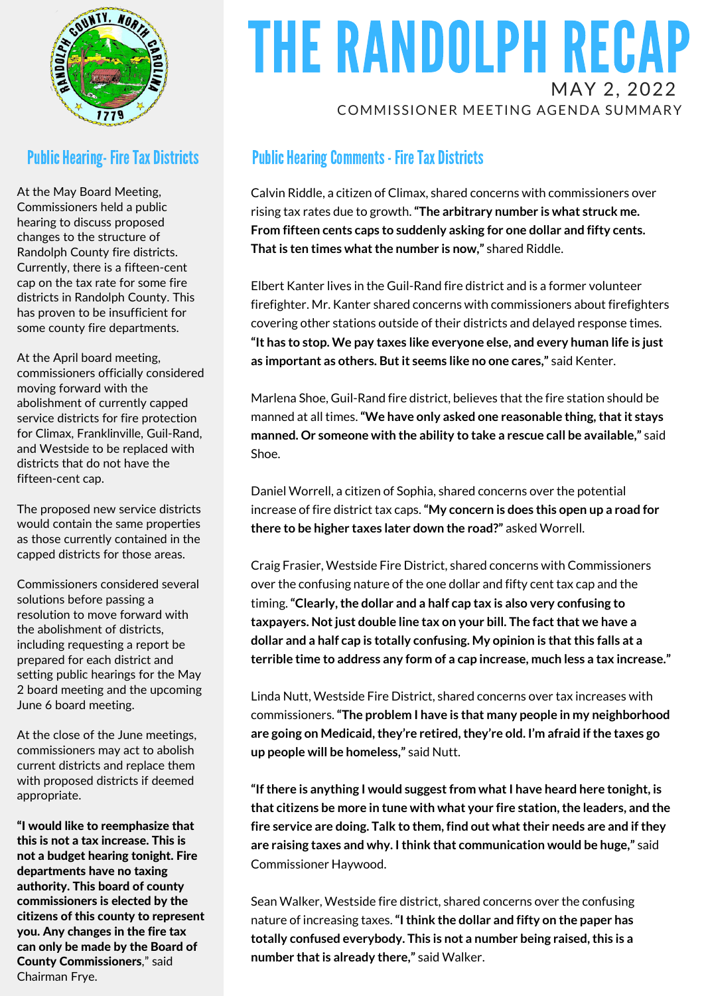

#### **Public Hearing- Fire Tax Districts**

At the May Board Meeting, Commissioners held a public hearing to discuss proposed changes to the structure of Randolph County fire districts. Currently, there is a fifteen-cent cap on the tax rate for some fire districts in Randolph County. This has proven to be insufficient for some county fire departments.

At the April board meeting, commissioners officially considered moving forward with the abolishment of currently capped service districts for fire protection for Climax, Franklinville, Guil-Rand, and Westside to be replaced with districts that do not have the fifteen-cent cap.

The proposed new service districts would contain the same properties as those currently contained in the capped districts for those areas.

Commissioners considered several solutions before passing a resolution to move forward with the abolishment of districts, including requesting a report be prepared for each district and setting public hearings for the May 2 board meeting and the upcoming June 6 board meeting.

At the close of the June meetings, commissioners may act to abolish current districts and replace them with proposed districts if deemed appropriate.

"I would like to reemphasize that this is not a tax increase. This is not a budget hearing tonight. Fire departments have no taxing authority. This board of county commissioners is elected by the citizens of this county to represent you. Any changes in the fire tax can only be made by the Board of County Commissioners," said Chairman Frye.

### THE RANDOLPH RECAP MAY 2, 2022 COMMISSIONER MEETING AGENDA SUMMARY

### **Public Hearing Comments - Fire Tax Districts**

Calvin Riddle, a citizen of Climax, shared concerns with commissioners over rising tax rates due to growth.**"The arbitrary number is what struck me. From fifteen cents caps to suddenly asking for one dollar and fifty cents. That is ten times what the number is now,"** shared Riddle.

Elbert Kanter lives in the Guil-Rand fire district and is a former volunteer firefighter. Mr. Kanter shared concerns with commissioners about firefighters covering other stations outside of their districts and delayed response times. **"It has to stop. We pay taxes like everyone else, and every human life is just as important as others. Butit seems like no one cares,"** said Kenter.

Marlena Shoe, Guil-Rand fire district, believes that the fire station should be manned at all times.**"We have only asked one reasonable thing,thatit stays manned. Or someone with the ability to take a rescue call be available,"** said Shoe.

Daniel Worrell, a citizen of Sophia, shared concerns over the potential increase of fire district tax caps.**"My concern is does this open up a road for there to be higher taxes later down the road?"** asked Worrell.

Craig Frasier, Westside Fire District, shared concerns with Commissioners over the confusing nature of the one dollar and fifty cent tax cap and the timing.**"Clearly,the dollar and a half cap tax is also very confusing to taxpayers. Notjust double line tax on your bill. The factthat we have a dollar and a half cap is totally confusing. My opinion is thatthis falls at a terrible time to address any form of a cap increase, much less a tax increase."**

Linda Nutt, Westside Fire District, shared concerns over tax increases with commissioners.**"The problem I have is that many people in my neighborhood are going on Medicaid,they're retired,they're old. I'm afraid if the taxes go up people will be homeless,"** said Nutt.

**"Ifthere is anything I would suggestfrom whatI have heard here tonight, is that citizens be more in tune with what your fire station,the leaders, and the fire service are doing. Talk to them, find out whattheir needs are and if they are raising taxes and why. Ithink that communication would be huge,"** said Commissioner Haywood.

Sean Walker, Westside fire district, shared concerns over the confusing nature of increasing taxes.**"Ithink the dollar and fifty on the paper has totally confused everybody. This is not a number being raised,this is a number thatis already there,"** said Walker.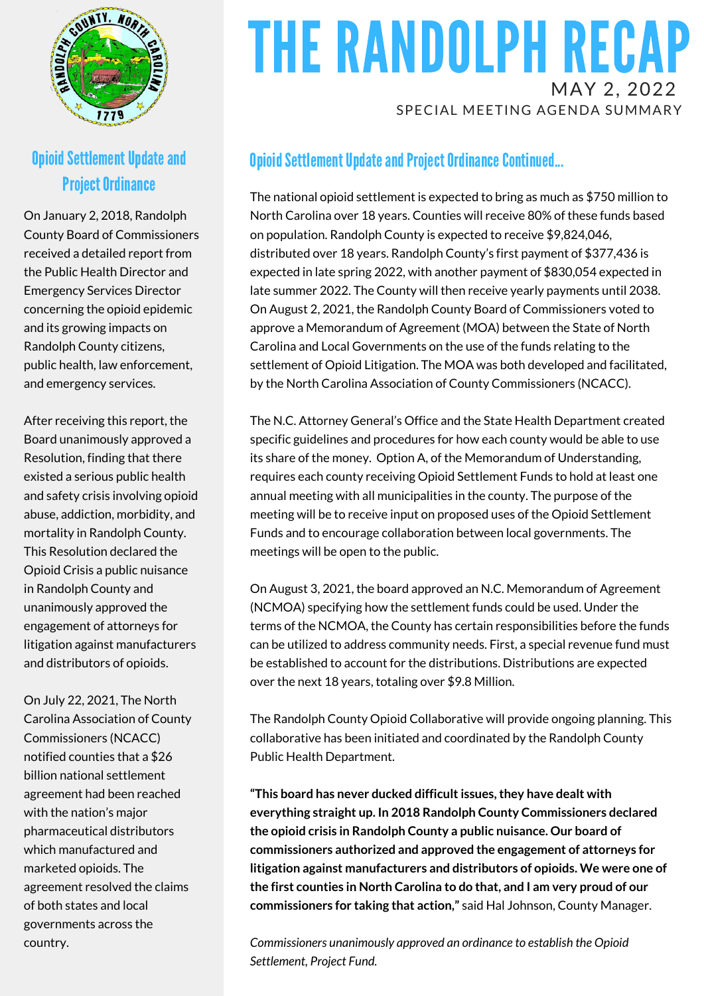

### Opioid Settlement Update and **Project Ordinance**

On January 2, 2018, Randolph County Board of Commissioners received a detailed report from the Public Health Director and Emergency Services Director concerning the opioid epidemic and its growing impacts on Randolph County citizens, public health, law enforcement, and emergency services.

After receiving this report, the Board unanimously approved a Resolution, finding that there existed a serious public health and safety crisis involving opioid abuse, addiction, morbidity, and mortality in Randolph County. This Resolution declared the Opioid Crisis a public nuisance in Randolph County and unanimously approved the engagement of attorneys for litigation against manufacturers and distributors of opioids.

On July 22, 2021, The North Carolina Association of County Commissioners (NCACC) notified counties that a \$26 billion national settlement agreement had been reached with the nation's major pharmaceutical distributors which manufactured and marketed opioids. The agreement resolved the claims of both states and local governments across the country.

### THE RANDOLPH RECAP MAY 2, 2022 SPECIAL MEETING AGENDA SUMMARY

### **Opioid Settlement Update and Project Ordinance Continued...**

The national opioid settlement is expected to bring as much as \$750 million to North Carolina over 18 years. Counties will receive 80% of these funds based on population. Randolph County is expected to receive \$9,824,046, distributed over 18 years. Randolph County's first payment of \$377,436 is expected in late spring 2022, with another payment of \$830,054 expected in late summer 2022. The County will then receive yearly payments until 2038. On August 2, 2021, the Randolph County Board of Commissioners voted to approve a Memorandum of Agreement (MOA) between the State of North Carolina and Local Governments on the use of the funds relating to the settlement of Opioid Litigation. The MOA was both developed and facilitated, by the North Carolina Association of County Commissioners (NCACC).

The N.C. Attorney General's Office and the State Health Department created specific guidelines and procedures for how each county would be able to use its share of the money. Option A, of the Memorandum of Understanding, requires each county receiving Opioid Settlement Funds to hold at least one annual meeting with all municipalities in the county. The purpose of the meeting will be to receive input on proposed uses of the Opioid Settlement Funds and to encourage collaboration between local governments. The meetings will be open to the public.

On August 3, 2021, the board approved an N.C. Memorandum of Agreement (NCMOA) specifying how the settlement funds could be used. Under the terms of the NCMOA, the County has certain responsibilities before the funds can be utilized to address community needs. First, a special revenue fund must be established to account for the distributions. Distributions are expected over the next 18 years, totaling over \$9.8 Million.

The Randolph County Opioid Collaborative will provide ongoing planning. This collaborative has been initiated and coordinated by the Randolph County Public Health Department.

**"This board has never ducked difficultissues,they have dealt with everything straight up. In 2018 Randolph County Commissioners declared the opioid crisis in Randolph County a public nuisance. Our board of commissioners authorized and approved the engagement of attorneys for litigation against manufacturers and distributors of opioids. We were one of the first counties in North Carolina to do that, and I am very proud of our commissioners for taking that action,"** said Hal Johnson, County Manager.

*Commissioners unanimously approved an ordinance to establish the Opioid Settlement, Project Fund.*